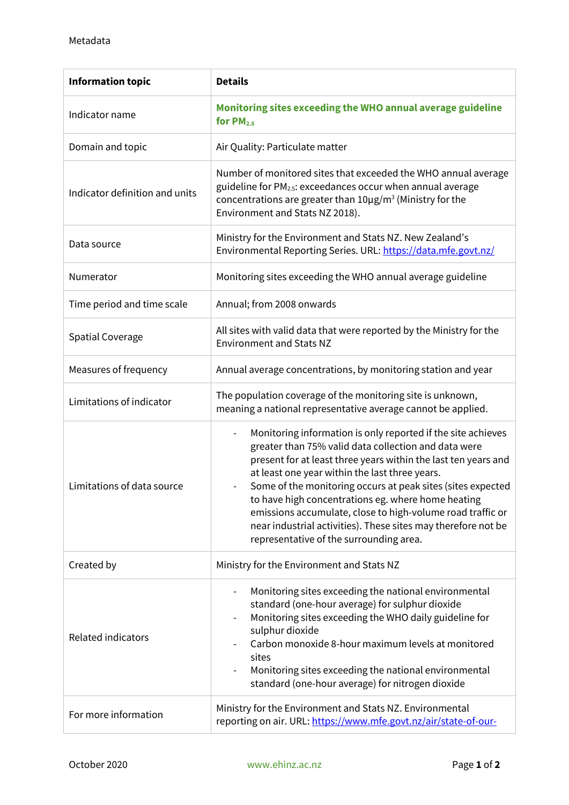| <b>Information topic</b>       | <b>Details</b>                                                                                                                                                                                                                                                                                                                                                                                                                                                                                                                                                      |
|--------------------------------|---------------------------------------------------------------------------------------------------------------------------------------------------------------------------------------------------------------------------------------------------------------------------------------------------------------------------------------------------------------------------------------------------------------------------------------------------------------------------------------------------------------------------------------------------------------------|
| Indicator name                 | Monitoring sites exceeding the WHO annual average guideline<br>for $PM2.5$                                                                                                                                                                                                                                                                                                                                                                                                                                                                                          |
| Domain and topic               | Air Quality: Particulate matter                                                                                                                                                                                                                                                                                                                                                                                                                                                                                                                                     |
| Indicator definition and units | Number of monitored sites that exceeded the WHO annual average<br>guideline for PM <sub>2.5</sub> : exceedances occur when annual average<br>concentrations are greater than $10\mu g/m^3$ (Ministry for the<br>Environment and Stats NZ 2018).                                                                                                                                                                                                                                                                                                                     |
| Data source                    | Ministry for the Environment and Stats NZ. New Zealand's<br>Environmental Reporting Series. URL: https://data.mfe.govt.nz/                                                                                                                                                                                                                                                                                                                                                                                                                                          |
| Numerator                      | Monitoring sites exceeding the WHO annual average guideline                                                                                                                                                                                                                                                                                                                                                                                                                                                                                                         |
| Time period and time scale     | Annual; from 2008 onwards                                                                                                                                                                                                                                                                                                                                                                                                                                                                                                                                           |
| <b>Spatial Coverage</b>        | All sites with valid data that were reported by the Ministry for the<br><b>Environment and Stats NZ</b>                                                                                                                                                                                                                                                                                                                                                                                                                                                             |
| Measures of frequency          | Annual average concentrations, by monitoring station and year                                                                                                                                                                                                                                                                                                                                                                                                                                                                                                       |
| Limitations of indicator       | The population coverage of the monitoring site is unknown,<br>meaning a national representative average cannot be applied.                                                                                                                                                                                                                                                                                                                                                                                                                                          |
| Limitations of data source     | Monitoring information is only reported if the site achieves<br>$\overline{\phantom{0}}$<br>greater than 75% valid data collection and data were<br>present for at least three years within the last ten years and<br>at least one year within the last three years.<br>Some of the monitoring occurs at peak sites (sites expected<br>to have high concentrations eg. where home heating<br>emissions accumulate, close to high-volume road traffic or<br>near industrial activities). These sites may therefore not be<br>representative of the surrounding area. |
| Created by                     | Ministry for the Environment and Stats NZ                                                                                                                                                                                                                                                                                                                                                                                                                                                                                                                           |
| <b>Related indicators</b>      | Monitoring sites exceeding the national environmental<br>standard (one-hour average) for sulphur dioxide<br>Monitoring sites exceeding the WHO daily guideline for<br>sulphur dioxide<br>Carbon monoxide 8-hour maximum levels at monitored<br>sites<br>Monitoring sites exceeding the national environmental<br>standard (one-hour average) for nitrogen dioxide                                                                                                                                                                                                   |
| For more information           | Ministry for the Environment and Stats NZ. Environmental<br>reporting on air. URL: https://www.mfe.govt.nz/air/state-of-our-                                                                                                                                                                                                                                                                                                                                                                                                                                        |